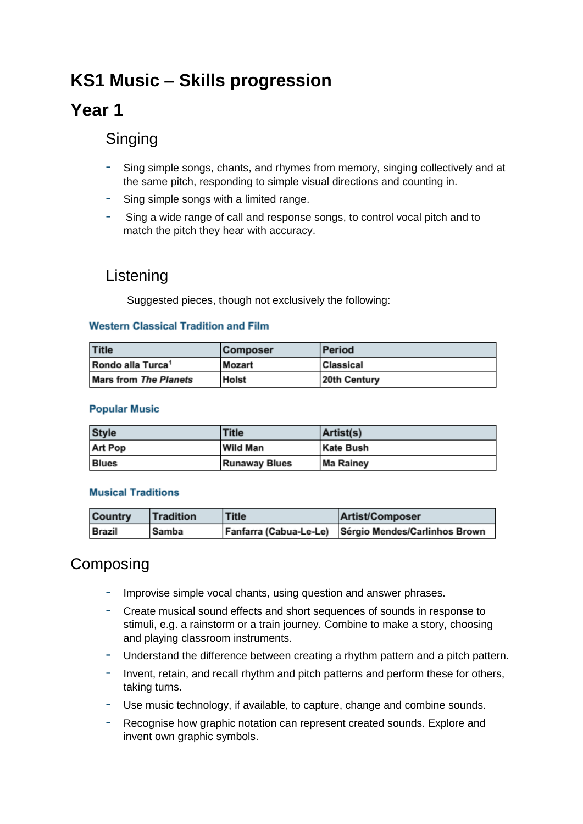# **KS1 Music – Skills progression**

## **Year 1**

## Singing

- Sing simple songs, chants, and rhymes from memory, singing collectively and at the same pitch, responding to simple visual directions and counting in.
- Sing simple songs with a limited range.
- Sing a wide range of call and response songs, to control vocal pitch and to match the pitch they hear with accuracy.

### Listening

Suggested pieces, though not exclusively the following:

### **Western Classical Tradition and Film**

| <b>Title</b>                  | <b>Composer</b> | <b>Period</b>    |
|-------------------------------|-----------------|------------------|
| Rondo alla Turca <sup>1</sup> | Mozart          | <b>Classical</b> |
| <b>Mars from The Planets</b>  | <b>Holst</b>    | 20th Century     |

#### **Popular Music**

| <b>Style</b>   | Title                | Artist(s)        |
|----------------|----------------------|------------------|
| <b>Art Pop</b> | <b>Wild Man</b>      | <b>Kate Bush</b> |
| <b>Blues</b>   | <b>Runaway Blues</b> | <b>Ma Rainey</b> |

#### **Musical Traditions**

| <b>Country</b> | Tradition | <b>Title</b> | <b>Artist/Composer</b>                               |
|----------------|-----------|--------------|------------------------------------------------------|
| <b>Brazil</b>  | Samba     |              | Fanfarra (Cabua-Le-Le) Sérgio Mendes/Carlinhos Brown |

## Composing

- Improvise simple vocal chants, using question and answer phrases.
- Create musical sound effects and short sequences of sounds in response to stimuli, e.g. a rainstorm or a train journey. Combine to make a story, choosing and playing classroom instruments.
- Understand the difference between creating a rhythm pattern and a pitch pattern.
- Invent, retain, and recall rhythm and pitch patterns and perform these for others, taking turns.
- Use music technology, if available, to capture, change and combine sounds.
- Recognise how graphic notation can represent created sounds. Explore and invent own graphic symbols.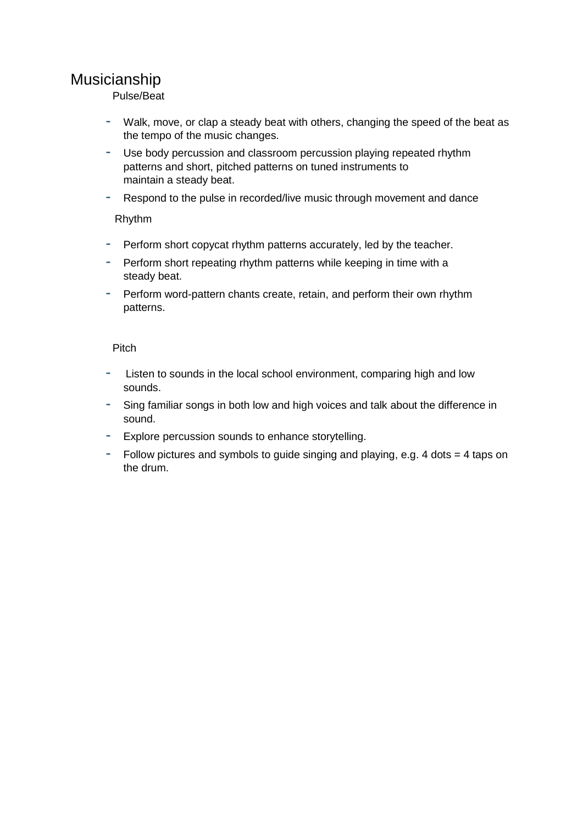## Musicianship

Pulse/Beat

- Walk, move, or clap a steady beat with others, changing the speed of the beat as the tempo of the music changes.
- Use body percussion and classroom percussion playing repeated rhythm patterns and short, pitched patterns on tuned instruments to maintain a steady beat.
- Respond to the pulse in recorded/live music through movement and dance

Rhythm

- Perform short copycat rhythm patterns accurately, led by the teacher.
- Perform short repeating rhythm patterns while keeping in time with a steady beat.
- Perform word-pattern chants create, retain, and perform their own rhythm patterns.

### Pitch

- Listen to sounds in the local school environment, comparing high and low sounds.
- Sing familiar songs in both low and high voices and talk about the difference in sound.
- Explore percussion sounds to enhance storytelling.
- Follow pictures and symbols to guide singing and playing, e.g. 4 dots = 4 taps on the drum.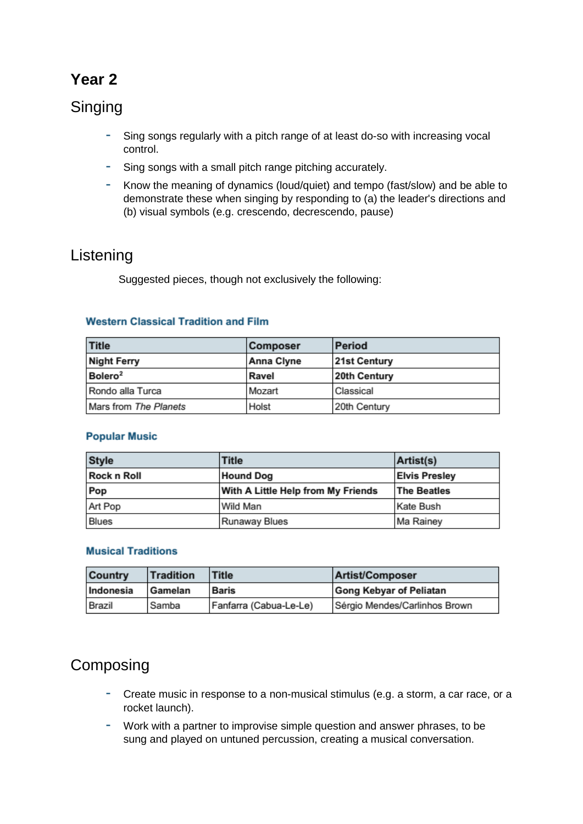## **Year 2**

## Singing

- Sing songs regularly with a pitch range of at least do-so with increasing vocal control.
- Sing songs with a small pitch range pitching accurately.
- Know the meaning of dynamics (loud/quiet) and tempo (fast/slow) and be able to demonstrate these when singing by responding to (a) the leader's directions and (b) visual symbols (e.g. crescendo, decrescendo, pause)

## Listening

Suggested pieces, though not exclusively the following:

### **Western Classical Tradition and Film**

| <b>Title</b>          | <b>Composer</b>   | <b>Period</b>       |
|-----------------------|-------------------|---------------------|
| <b>Night Ferry</b>    | <b>Anna Clyne</b> | <b>21st Century</b> |
| Bolero <sup>2</sup>   | Ravel             | 20th Century        |
| Rondo alla Turca      | Mozart            | Classical           |
| Mars from The Planets | Holst             | 20th Century        |

### **Popular Music**

| <b>Style</b>       | Title                              | Artist(s)            |
|--------------------|------------------------------------|----------------------|
| <b>Rock n Roll</b> | <b>Hound Dog</b>                   | <b>Elvis Presley</b> |
| Pop                | With A Little Help from My Friends | <b>The Beatles</b>   |
| Art Pop            | Wild Man                           | Kate Bush            |
| <b>Blues</b>       | <b>Runaway Blues</b>               | Ma Rainey            |

### **Musical Traditions**

| <b>Country</b> | <b>Tradition</b> | <b>Title</b>           | Artist/Composer                |
|----------------|------------------|------------------------|--------------------------------|
| Indonesia      | Gamelan          | <b>Baris</b>           | <b>Gong Kebyar of Peliatan</b> |
| Brazil         | Samba            | Fanfarra (Cabua-Le-Le) | Sérgio Mendes/Carlinhos Brown  |

## Composing

- Create music in response to a non-musical stimulus (e.g. a storm, a car race, or a rocket launch).
- Work with a partner to improvise simple question and answer phrases, to be sung and played on untuned percussion, creating a musical conversation.